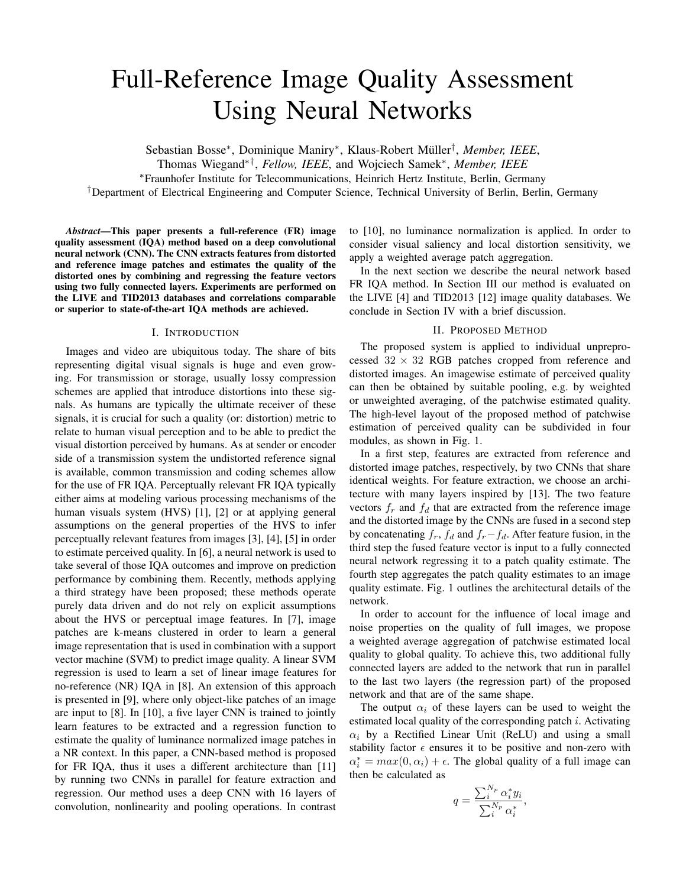# Full-Reference Image Quality Assessment Using Neural Networks

Sebastian Bosse<sup>∗</sup>, Dominique Maniry<sup>∗</sup>, Klaus-Robert Müller<sup>†</sup>, Member, IEEE,

Thomas Wiegand∗† , *Fellow, IEEE*, and Wojciech Samek<sup>∗</sup> , *Member, IEEE*

<sup>∗</sup>Fraunhofer Institute for Telecommunications, Heinrich Hertz Institute, Berlin, Germany

†Department of Electrical Engineering and Computer Science, Technical University of Berlin, Berlin, Germany

*Abstract*—This paper presents a full-reference (FR) image quality assessment (IQA) method based on a deep convolutional neural network (CNN). The CNN extracts features from distorted and reference image patches and estimates the quality of the distorted ones by combining and regressing the feature vectors using two fully connected layers. Experiments are performed on the LIVE and TID2013 databases and correlations comparable or superior to state-of-the-art IQA methods are achieved.

### I. INTRODUCTION

Images and video are ubiquitous today. The share of bits representing digital visual signals is huge and even growing. For transmission or storage, usually lossy compression schemes are applied that introduce distortions into these signals. As humans are typically the ultimate receiver of these signals, it is crucial for such a quality (or: distortion) metric to relate to human visual perception and to be able to predict the visual distortion perceived by humans. As at sender or encoder side of a transmission system the undistorted reference signal is available, common transmission and coding schemes allow for the use of FR IQA. Perceptually relevant FR IQA typically either aims at modeling various processing mechanisms of the human visuals system (HVS) [1], [2] or at applying general assumptions on the general properties of the HVS to infer perceptually relevant features from images [3], [4], [5] in order to estimate perceived quality. In [6], a neural network is used to take several of those IQA outcomes and improve on prediction performance by combining them. Recently, methods applying a third strategy have been proposed; these methods operate purely data driven and do not rely on explicit assumptions about the HVS or perceptual image features. In [7], image patches are k-means clustered in order to learn a general image representation that is used in combination with a support vector machine (SVM) to predict image quality. A linear SVM regression is used to learn a set of linear image features for no-reference (NR) IQA in [8]. An extension of this approach is presented in [9], where only object-like patches of an image are input to [8]. In [10], a five layer CNN is trained to jointly learn features to be extracted and a regression function to estimate the quality of luminance normalized image patches in a NR context. In this paper, a CNN-based method is proposed for FR IQA, thus it uses a different architecture than [11] by running two CNNs in parallel for feature extraction and regression. Our method uses a deep CNN with 16 layers of convolution, nonlinearity and pooling operations. In contrast to [10], no luminance normalization is applied. In order to consider visual saliency and local distortion sensitivity, we apply a weighted average patch aggregation.

In the next section we describe the neural network based FR IQA method. In Section III our method is evaluated on the LIVE [4] and TID2013 [12] image quality databases. We conclude in Section IV with a brief discussion.

## II. PROPOSED METHOD

The proposed system is applied to individual unpreprocessed  $32 \times 32$  RGB patches cropped from reference and distorted images. An imagewise estimate of perceived quality can then be obtained by suitable pooling, e.g. by weighted or unweighted averaging, of the patchwise estimated quality. The high-level layout of the proposed method of patchwise estimation of perceived quality can be subdivided in four modules, as shown in Fig. 1.

In a first step, features are extracted from reference and distorted image patches, respectively, by two CNNs that share identical weights. For feature extraction, we choose an architecture with many layers inspired by [13]. The two feature vectors  $f_r$  and  $f_d$  that are extracted from the reference image and the distorted image by the CNNs are fused in a second step by concatenating  $f_r$ ,  $f_d$  and  $f_r-f_d$ . After feature fusion, in the third step the fused feature vector is input to a fully connected neural network regressing it to a patch quality estimate. The fourth step aggregates the patch quality estimates to an image quality estimate. Fig. 1 outlines the architectural details of the network.

In order to account for the influence of local image and noise properties on the quality of full images, we propose a weighted average aggregation of patchwise estimated local quality to global quality. To achieve this, two additional fully connected layers are added to the network that run in parallel to the last two layers (the regression part) of the proposed network and that are of the same shape.

The output  $\alpha_i$  of these layers can be used to weight the estimated local quality of the corresponding patch  $i$ . Activating  $\alpha_i$  by a Rectified Linear Unit (ReLU) and using a small stability factor  $\epsilon$  ensures it to be positive and non-zero with  $\alpha_i^* = max(0, \alpha_i) + \epsilon$ . The global quality of a full image can then be calculated as

$$
q = \frac{\sum_{i}^{N_p} \alpha_i^* y_i}{\sum_{i}^{N_p} \alpha_i^*}
$$

,